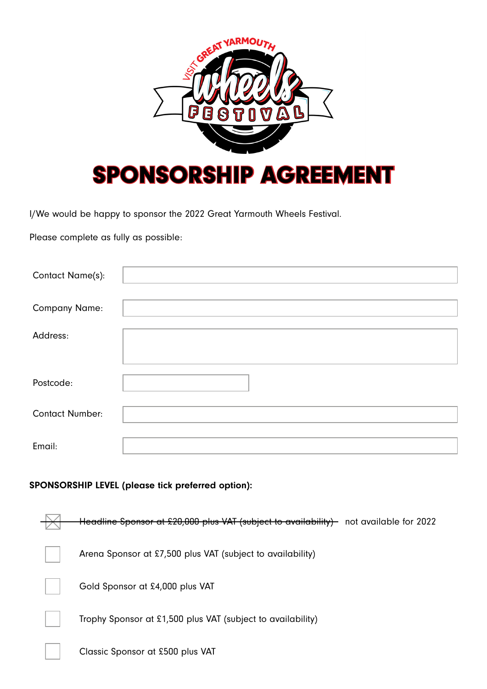

I/We would be happy to sponsor the 2022 Great Yarmouth Wheels Festival.

Please complete as fully as possible:

| Contact Name(s):       |  |
|------------------------|--|
| <b>Company Name:</b>   |  |
| Address:               |  |
| Postcode:              |  |
| <b>Contact Number:</b> |  |
| Email:                 |  |

## SPONSORSHIP LEVEL (please tick preferred option):

| Headline Sponsor at £20,000 plus VAT (subject to availability)-<br>not available for 2022 |
|-------------------------------------------------------------------------------------------|
| Arena Sponsor at £7,500 plus VAT (subject to availability)                                |
| Gold Sponsor at £4,000 plus VAT                                                           |
| Trophy Sponsor at £1,500 plus VAT (subject to availability)                               |
| Classic Sponsor at £500 plus VAT                                                          |